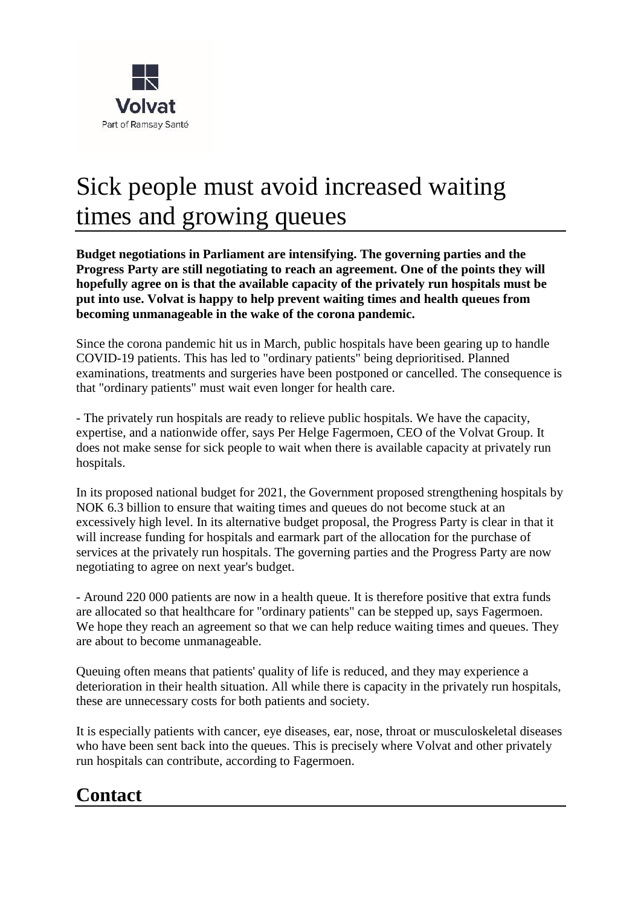

## Sick people must avoid increased waiting times and growing queues

**Budget negotiations in Parliament are intensifying. The governing parties and the Progress Party are still negotiating to reach an agreement. One of the points they will hopefully agree on is that the available capacity of the privately run hospitals must be put into use. Volvat is happy to help prevent waiting times and health queues from becoming unmanageable in the wake of the corona pandemic.**

Since the corona pandemic hit us in March, public hospitals have been gearing up to handle COVID-19 patients. This has led to "ordinary patients" being deprioritised. Planned examinations, treatments and surgeries have been postponed or cancelled. The consequence is that "ordinary patients" must wait even longer for health care.

- The privately run hospitals are ready to relieve public hospitals. We have the capacity, expertise, and a nationwide offer, says Per Helge Fagermoen, CEO of the Volvat Group. It does not make sense for sick people to wait when there is available capacity at privately run hospitals.

In its proposed national budget for 2021, the Government proposed strengthening hospitals by NOK 6.3 billion to ensure that waiting times and queues do not become stuck at an excessively high level. In its alternative budget proposal, the Progress Party is clear in that it will increase funding for hospitals and earmark part of the allocation for the purchase of services at the privately run hospitals. The governing parties and the Progress Party are now negotiating to agree on next year's budget.

- Around 220 000 patients are now in a health queue. It is therefore positive that extra funds are allocated so that healthcare for "ordinary patients" can be stepped up, says Fagermoen. We hope they reach an agreement so that we can help reduce waiting times and queues. They are about to become unmanageable.

Queuing often means that patients' quality of life is reduced, and they may experience a deterioration in their health situation. All while there is capacity in the privately run hospitals, these are unnecessary costs for both patients and society.

It is especially patients with cancer, eye diseases, ear, nose, throat or musculoskeletal diseases who have been sent back into the queues. This is precisely where Volvat and other privately run hospitals can contribute, according to Fagermoen.

## **Contact**